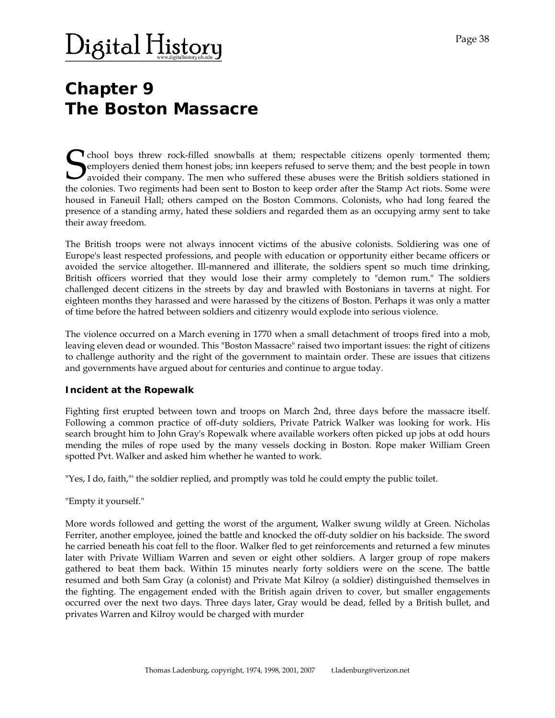# $\rm Digital\,History$

# **Chapter 9 The Boston Massacre**

**T** chool boys threw rock-filled snowballs at them; respectable citizens openly tormented them; employers denied them honest jobs; inn keepers refused to serve them; and the best people in town avoided their company. The men who suffered these abuses were the British soldiers stationed in the colonies. Two regiments had been sent to Boston to keep order after the Stamp Act riots. Some were housed in Faneuil Hall; others camped on the Boston Commons. Colonists, who had long feared the presence of a standing army, hated these soldiers and regarded them as an occupying army sent to take their away freedom. S<br>the co

The British troops were not always innocent victims of the abusive colonists. Soldiering was one of Europe's least respected professions, and people with education or opportunity either became officers or avoided the service altogether. Ill-mannered and illiterate, the soldiers spent so much time drinking, British officers worried that they would lose their army completely to "demon rum." The soldiers challenged decent citizens in the streets by day and brawled with Bostonians in taverns at night. For eighteen months they harassed and were harassed by the citizens of Boston. Perhaps it was only a matter of time before the hatred between soldiers and citizenry would explode into serious violence.

The violence occurred on a March evening in 1770 when a small detachment of troops fired into a mob, leaving eleven dead or wounded. This "Boston Massacre" raised two important issues: the right of citizens to challenge authority and the right of the government to maintain order. These are issues that citizens and governments have argued about for centuries and continue to argue today.

### **Incident at the Ropewalk**

Fighting first erupted between town and troops on March 2nd, three days before the massacre itself. Following a common practice of off-duty soldiers, Private Patrick Walker was looking for work. His search brought him to John Gray's Ropewalk where available workers often picked up jobs at odd hours mending the miles of rope used by the many vessels docking in Boston. Rope maker William Green spotted Pvt. Walker and asked him whether he wanted to work.

"Yes, I do, faith,"' the soldier replied, and promptly was told he could empty the public toilet.

### "Empty it yourself."

More words followed and getting the worst of the argument, Walker swung wildly at Green. Nicholas Ferriter, another employee, joined the battle and knocked the off-duty soldier on his backside. The sword he carried beneath his coat fell to the floor. Walker fled to get reinforcements and returned a few minutes later with Private William Warren and seven or eight other soldiers. A larger group of rope makers gathered to beat them back. Within 15 minutes nearly forty soldiers were on the scene. The battle resumed and both Sam Gray (a colonist) and Private Mat Kilroy (a soldier) distinguished themselves in the fighting. The engagement ended with the British again driven to cover, but smaller engagements occurred over the next two days. Three days later, Gray would be dead, felled by a British bullet, and privates Warren and Kilroy would be charged with murder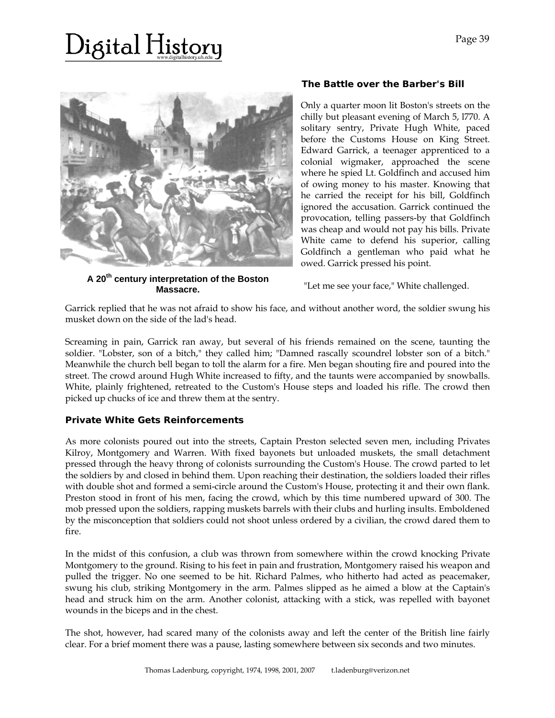# )igital History



**A 20th century interpretation of the Boston** 

# **The Battle over the Barber's Bill**

Only a quarter moon lit Boston's streets on the chilly but pleasant evening of March 5, l770. A solitary sentry, Private Hugh White, paced before the Customs House on King Street. Edward Garrick, a teenager apprenticed to a colonial wigmaker, approached the scene where he spied Lt. Goldfinch and accused him of owing money to his master. Knowing that he carried the receipt for his bill, Goldfinch ignored the accusation. Garrick continued the provocation, telling passers-by that Goldfinch was cheap and would not pay his bills. Private White came to defend his superior, calling Goldfinch a gentleman who paid what he owed. Garrick pressed his point.

**Massacre.** "Let me see your face," White challenged.

Garrick replied that he was not afraid to show his face, and without another word, the soldier swung his musket down on the side of the lad's head.

Screaming in pain, Garrick ran away, but several of his friends remained on the scene, taunting the soldier. "Lobster, son of a bitch," they called him; "Damned rascally scoundrel lobster son of a bitch." Meanwhile the church bell began to toll the alarm for a fire. Men began shouting fire and poured into the street. The crowd around Hugh White increased to fifty, and the taunts were accompanied by snowballs. White, plainly frightened, retreated to the Custom's House steps and loaded his rifle. The crowd then picked up chucks of ice and threw them at the sentry.

### **Private White Gets Reinforcements**

As more colonists poured out into the streets, Captain Preston selected seven men, including Privates Kilroy, Montgomery and Warren. With fixed bayonets but unloaded muskets, the small detachment pressed through the heavy throng of colonists surrounding the Custom's House. The crowd parted to let the soldiers by and closed in behind them. Upon reaching their destination, the soldiers loaded their rifles with double shot and formed a semi-circle around the Custom's House, protecting it and their own flank. Preston stood in front of his men, facing the crowd, which by this time numbered upward of 300. The mob pressed upon the soldiers, rapping muskets barrels with their clubs and hurling insults. Emboldened by the misconception that soldiers could not shoot unless ordered by a civilian, the crowd dared them to fire.

In the midst of this confusion, a club was thrown from somewhere within the crowd knocking Private Montgomery to the ground. Rising to his feet in pain and frustration, Montgomery raised his weapon and pulled the trigger. No one seemed to be hit. Richard Palmes, who hitherto had acted as peacemaker, swung his club, striking Montgomery in the arm. Palmes slipped as he aimed a blow at the Captain's head and struck him on the arm. Another colonist, attacking with a stick, was repelled with bayonet wounds in the biceps and in the chest.

The shot, however, had scared many of the colonists away and left the center of the British line fairly clear. For a brief moment there was a pause, lasting somewhere between six seconds and two minutes.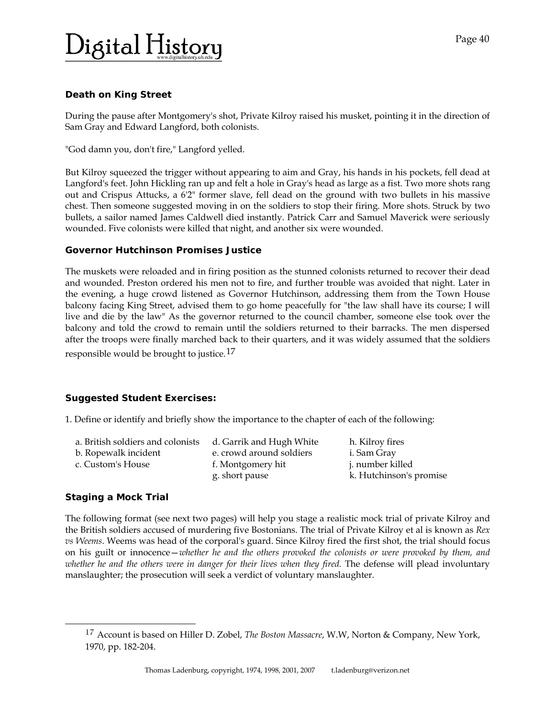# )igital History

# **Death on King Street**

During the pause after Montgomery's shot, Private Kilroy raised his musket, pointing it in the direction of Sam Gray and Edward Langford, both colonists.

"God damn you, don't fire," Langford yelled.

But Kilroy squeezed the trigger without appearing to aim and Gray, his hands in his pockets, fell dead at Langford's feet. John Hickling ran up and felt a hole in Gray's head as large as a fist. Two more shots rang out and Crispus Attucks, a 6'2" former slave, fell dead on the ground with two bullets in his massive chest. Then someone suggested moving in on the soldiers to stop their firing. More shots. Struck by two bullets, a sailor named James Caldwell died instantly. Patrick Carr and Samuel Maverick were seriously wounded. Five colonists were killed that night, and another six were wounded.

# **Governor Hutchinson Promises Justice**

The muskets were reloaded and in firing position as the stunned colonists returned to recover their dead and wounded. Preston ordered his men not to fire, and further trouble was avoided that night. Later in the evening, a huge crowd listened as Governor Hutchinson, addressing them from the Town House balcony facing King Street, advised them to go home peacefully for "the law shall have its course; I will live and die by the law" As the governor returned to the council chamber, someone else took over the balcony and told the crowd to remain until the soldiers returned to their barracks. The men dispersed after the troops were finally marched back to their quarters, and it was widely assumed that the soldiers

responsible would be brought to justice.<sup>[17](#page-2-0)</sup>

# **Suggested Student Exercises:**

1. Define or identify and briefly show the importance to the chapter of each of the following:

| a. British soldiers and colonists | d. Garrik and Hugh White | h. Kilroy fires         |
|-----------------------------------|--------------------------|-------------------------|
| b. Ropewalk incident              | e. crowd around soldiers | i. Sam Gray             |
| c. Custom's House                 | f. Montgomery hit        | j. number killed        |
|                                   | g. short pause           | k. Hutchinson's promise |

# **Staging a Mock Trial**

<span id="page-2-0"></span>l

The following format (see next two pages) will help you stage a realistic mock trial of private Kilroy and the British soldiers accused of murdering five Bostonians. The trial of Private Kilroy et al is known as *Rex vs Weems*. Weems was head of the corporal's guard. Since Kilroy fired the first shot, the trial should focus on his guilt or innocence—*whether he and the others provoked the colonists or were provoked by them, and*  whether he and the others were in danger for their lives when they fired. The defense will plead involuntary manslaughter; the prosecution will seek a verdict of voluntary manslaughter.

<sup>17</sup> Account is based on Hiller D. Zobel, *The Boston Massacre*, W.W, Norton & Company, New York, 1970, pp. 182‐204.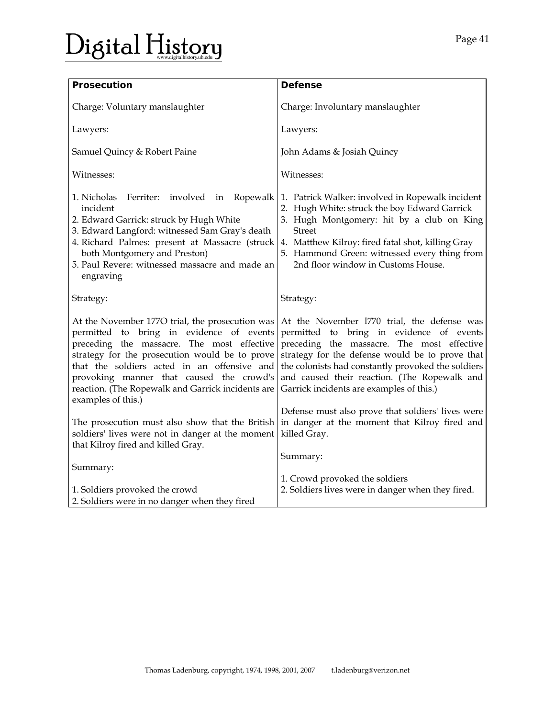| <b>Prosecution</b>                                                                                                                                                                                                                                                                                                                          | <b>Defense</b>                                                                                                                                                                                                                                                                                                                             |  |
|---------------------------------------------------------------------------------------------------------------------------------------------------------------------------------------------------------------------------------------------------------------------------------------------------------------------------------------------|--------------------------------------------------------------------------------------------------------------------------------------------------------------------------------------------------------------------------------------------------------------------------------------------------------------------------------------------|--|
| Charge: Voluntary manslaughter                                                                                                                                                                                                                                                                                                              | Charge: Involuntary manslaughter                                                                                                                                                                                                                                                                                                           |  |
| Lawyers:                                                                                                                                                                                                                                                                                                                                    | Lawyers:                                                                                                                                                                                                                                                                                                                                   |  |
| Samuel Quincy & Robert Paine                                                                                                                                                                                                                                                                                                                | John Adams & Josiah Quincy                                                                                                                                                                                                                                                                                                                 |  |
| Witnesses:                                                                                                                                                                                                                                                                                                                                  | Witnesses:                                                                                                                                                                                                                                                                                                                                 |  |
| 1. Nicholas<br>Ferriter: involved in Ropewalk<br>incident<br>2. Edward Garrick: struck by Hugh White<br>3. Edward Langford: witnessed Sam Gray's death<br>4. Richard Palmes: present at Massacre (struck<br>both Montgomery and Preston)<br>5. Paul Revere: witnessed massacre and made an<br>engraving                                     | 1. Patrick Walker: involved in Ropewalk incident<br>2. Hugh White: struck the boy Edward Garrick<br>3. Hugh Montgomery: hit by a club on King<br><b>Street</b><br>4. Matthew Kilroy: fired fatal shot, killing Gray<br>5. Hammond Green: witnessed every thing from<br>2nd floor window in Customs House.                                  |  |
| Strategy:                                                                                                                                                                                                                                                                                                                                   | Strategy:                                                                                                                                                                                                                                                                                                                                  |  |
| At the November 1770 trial, the prosecution was<br>permitted to bring in evidence of events<br>preceding the massacre. The most effective<br>strategy for the prosecution would be to prove<br>that the soldiers acted in an offensive and<br>provoking manner that caused the crowd's<br>reaction. (The Ropewalk and Garrick incidents are | At the November 1770 trial, the defense was<br>permitted to bring in evidence of events<br>preceding the massacre. The most effective<br>strategy for the defense would be to prove that<br>the colonists had constantly provoked the soldiers<br>and caused their reaction. (The Ropewalk and<br>Garrick incidents are examples of this.) |  |
| The prosecution must also show that the British<br>soldiers' lives were not in danger at the moment                                                                                                                                                                                                                                         | Defense must also prove that soldiers' lives were<br>in danger at the moment that Kilroy fired and<br>killed Gray.                                                                                                                                                                                                                         |  |
|                                                                                                                                                                                                                                                                                                                                             | Summary:                                                                                                                                                                                                                                                                                                                                   |  |
| 1. Soldiers provoked the crowd                                                                                                                                                                                                                                                                                                              | 1. Crowd provoked the soldiers<br>2. Soldiers lives were in danger when they fired.                                                                                                                                                                                                                                                        |  |
| examples of this.)<br>that Kilroy fired and killed Gray.<br>Summary:<br>2. Soldiers were in no danger when they fired                                                                                                                                                                                                                       |                                                                                                                                                                                                                                                                                                                                            |  |